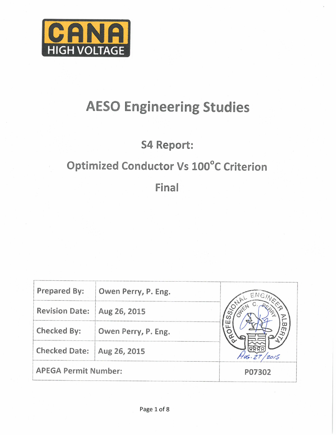

# **AESO Engineering Studies**

# **S4 Report:**

# Optimized Conductor Vs 100°C Criterion

Final

| <b>Prepared By:</b>         | Owen Perry, P. Eng. |        |
|-----------------------------|---------------------|--------|
| <b>Revision Date:</b>       | Aug 26, 2015        |        |
| Checked By:                 | Owen Perry, P. Eng. | π      |
| <b>Checked Date:</b>        | Aug 26, 2015        |        |
| <b>APEGA Permit Number:</b> |                     | P07302 |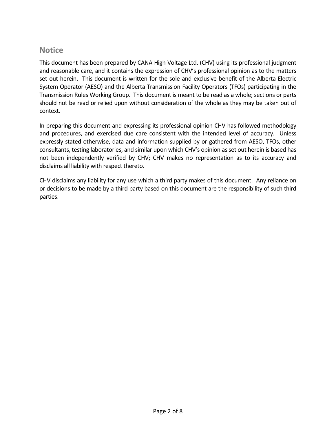#### **Notice**

This document has been prepared by CANA High Voltage Ltd. (CHV) using its professional judgment and reasonable care, and it contains the expression of CHV's professional opinion as to the matters set out herein. This document is written for the sole and exclusive benefit of the Alberta Electric System Operator (AESO) and the Alberta Transmission Facility Operators (TFOs) participating in the Transmission Rules Working Group. This document is meant to be read as a whole; sections or parts should not be read or relied upon without consideration of the whole as they may be taken out of context.

In preparing this document and expressing its professional opinion CHV has followed methodology and procedures, and exercised due care consistent with the intended level of accuracy. Unless expressly stated otherwise, data and information supplied by or gathered from AESO, TFOs, other consultants, testing laboratories, and similar upon which CHV's opinion as set out herein is based has not been independently verified by CHV; CHV makes no representation as to its accuracy and disclaims all liability with respect thereto.

CHV disclaims any liability for any use which a third party makes of this document. Any reliance on or decisions to be made by a third party based on this document are the responsibility of such third parties.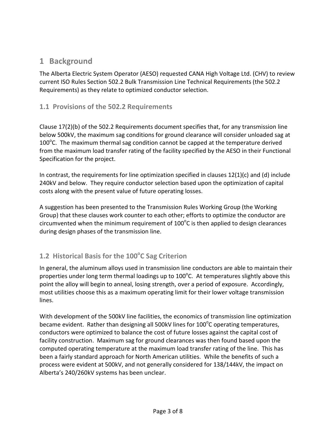### **1 Background**

The Alberta Electric System Operator (AESO) requested CANA High Voltage Ltd. (CHV) to review current ISO Rules Section 502.2 Bulk Transmission Line Technical Requirements (the 502.2 Requirements) as they relate to optimized conductor selection.

#### **1.1 Provisions of the 502.2 Requirements**

Clause 17(2)(b) of the 502.2 Requirements document specifies that, for any transmission line below 500kV, the maximum sag conditions for ground clearance will consider unloaded sag at 100 $^{\circ}$ C. The maximum thermal sag condition cannot be capped at the temperature derived from the maximum load transfer rating of the facility specified by the AESO in their Functional Specification for the project.

In contrast, the requirements for line optimization specified in clauses  $12(1)(c)$  and (d) include 240kV and below. They require conductor selection based upon the optimization of capital costs along with the present value of future operating losses.

A suggestion has been presented to the Transmission Rules Working Group (the Working Group) that these clauses work counter to each other; efforts to optimize the conductor are circumvented when the minimum requirement of  $100^{\circ}$ C is then applied to design clearances during design phases of the transmission line.

### **1.2 Historical Basis for the 100<sup>o</sup> C Sag Criterion**

In general, the aluminum alloys used in transmission line conductors are able to maintain their properties under long term thermal loadings up to  $100^{\circ}$ C. At temperatures slightly above this point the alloy will begin to anneal, losing strength, over a period of exposure. Accordingly, most utilities choose this as a maximum operating limit for their lower voltage transmission lines.

With development of the 500kV line facilities, the economics of transmission line optimization became evident. Rather than designing all 500kV lines for 100<sup>o</sup>C operating temperatures, conductors were optimized to balance the cost of future losses against the capital cost of facility construction. Maximum sag for ground clearances was then found based upon the computed operating temperature at the maximum load transfer rating of the line. This has been a fairly standard approach for North American utilities. While the benefits of such a process were evident at 500kV, and not generally considered for 138/144kV, the impact on Alberta's 240/260kV systems has been unclear.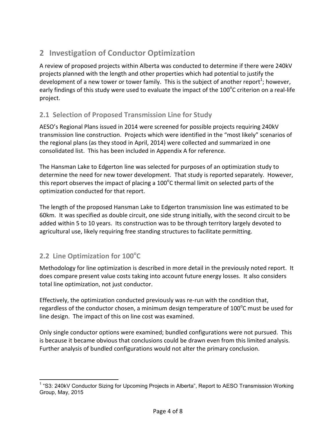# **2 Investigation of Conductor Optimization**

A review of proposed projects within Alberta was conducted to determine if there were 240kV projects planned with the length and other properties which had potential to justify the development of a new tower or tower family. This is the subject of another report<sup>1</sup>; however, early findings of this study were used to evaluate the impact of the 100 $^{\circ}$ C criterion on a real-life project.

#### **2.1 Selection of Proposed Transmission Line for Study**

AESO's Regional Plans issued in 2014 were screened for possible projects requiring 240kV transmission line construction. Projects which were identified in the "most likely" scenarios of the regional plans (as they stood in April, 2014) were collected and summarized in one consolidated list. This has been included in Appendix A for reference.

The Hansman Lake to Edgerton line was selected for purposes of an optimization study to determine the need for new tower development. That study is reported separately. However, this report observes the impact of placing a 100 $^{\circ}$ C thermal limit on selected parts of the optimization conducted for that report.

The length of the proposed Hansman Lake to Edgerton transmission line was estimated to be 60km. It was specified as double circuit, one side strung initially, with the second circuit to be added within 5 to 10 years. Its construction was to be through territory largely devoted to agricultural use, likely requiring free standing structures to facilitate permitting.

# 2.2 Line Optimization for 100°C

.

Methodology for line optimization is described in more detail in the previously noted report. It does compare present value costs taking into account future energy losses. It also considers total line optimization, not just conductor.

Effectively, the optimization conducted previously was re-run with the condition that, regardless of the conductor chosen, a minimum design temperature of 100 $^{\circ}$ C must be used for line design. The impact of this on line cost was examined.

Only single conductor options were examined; bundled configurations were not pursued. This is because it became obvious that conclusions could be drawn even from this limited analysis. Further analysis of bundled configurations would not alter the primary conclusion.

<sup>&</sup>lt;sup>1</sup> "S3: 240kV Conductor Sizing for Upcoming Projects in Alberta", Report to AESO Transmission Working Group, May, 2015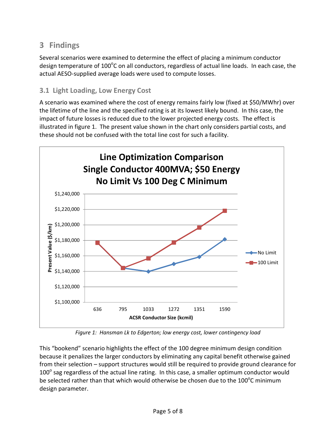## **3 Findings**

Several scenarios were examined to determine the effect of placing a minimum conductor design temperature of 100 $^{\circ}$ C on all conductors, regardless of actual line loads. In each case, the actual AESO-supplied average loads were used to compute losses.

#### **3.1 Light Loading, Low Energy Cost**

A scenario was examined where the cost of energy remains fairly low (fixed at \$50/MWhr) over the lifetime of the line and the specified rating is at its lowest likely bound. In this case, the impact of future losses is reduced due to the lower projected energy costs. The effect is illustrated in figure 1. The present value shown in the chart only considers partial costs, and these should not be confused with the total line cost for such a facility.



*Figure 1: Hansman Lk to Edgerton; low energy cost, lower contingency load* 

This "bookend" scenario highlights the effect of the 100 degree minimum design condition because it penalizes the larger conductors by eliminating any capital benefit otherwise gained from their selection – support structures would still be required to provide ground clearance for  $100^{\circ}$  sag regardless of the actual line rating. In this case, a smaller optimum conductor would be selected rather than that which would otherwise be chosen due to the 100 $^{\circ}$ C minimum design parameter.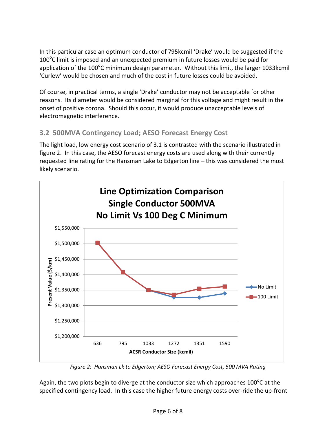In this particular case an optimum conductor of 795kcmil 'Drake' would be suggested if the  $100^{\circ}$ C limit is imposed and an unexpected premium in future losses would be paid for application of the 100<sup>o</sup>C minimum design parameter. Without this limit, the larger 1033kcmil 'Curlew' would be chosen and much of the cost in future losses could be avoided.

Of course, in practical terms, a single 'Drake' conductor may not be acceptable for other reasons. Its diameter would be considered marginal for this voltage and might result in the onset of positive corona. Should this occur, it would produce unacceptable levels of electromagnetic interference.

#### **3.2 500MVA Contingency Load; AESO Forecast Energy Cost**

The light load, low energy cost scenario of 3.1 is contrasted with the scenario illustrated in figure 2. In this case, the AESO forecast energy costs are used along with their currently requested line rating for the Hansman Lake to Edgerton line – this was considered the most likely scenario.



*Figure 2: Hansman Lk to Edgerton; AESO Forecast Energy Cost, 500 MVA Rating* 

Again, the two plots begin to diverge at the conductor size which approaches 100 $^{\circ}$ C at the specified contingency load. In this case the higher future energy costs over-ride the up-front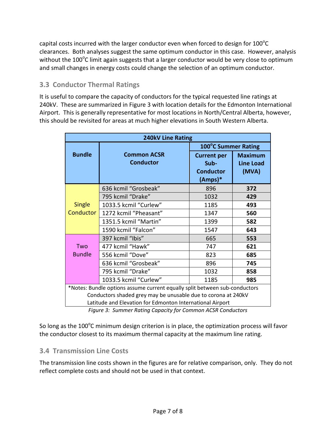capital costs incurred with the larger conductor even when forced to design for  $100^{\circ}$ C clearances. Both analyses suggest the same optimum conductor in this case. However, analysis without the 100 $^{\circ}$ C limit again suggests that a larger conductor would be very close to optimum and small changes in energy costs could change the selection of an optimum conductor.

#### **3.3 Conductor Thermal Ratings**

It is useful to compare the capacity of conductors for the typical requested line ratings at 240kV. These are summarized in Figure 3 with location details for the Edmonton International Airport. This is generally representative for most locations in North/Central Alberta, however, this should be revisited for areas at much higher elevations in South Western Alberta.

| <b>240kV Line Rating</b>                                                                                                   |                                        |                                                  |                                             |  |
|----------------------------------------------------------------------------------------------------------------------------|----------------------------------------|--------------------------------------------------|---------------------------------------------|--|
|                                                                                                                            | 100°C Summer Rating                    |                                                  |                                             |  |
| <b>Bundle</b>                                                                                                              | <b>Common ACSR</b><br><b>Conductor</b> | <b>Current per</b><br>$Sub-$<br><b>Conductor</b> | <b>Maximum</b><br><b>Line Load</b><br>(MVA) |  |
|                                                                                                                            |                                        | (Amps)*                                          |                                             |  |
| Single<br>Conductor                                                                                                        | 636 kcmil "Grosbeak"                   | 896                                              | 372                                         |  |
|                                                                                                                            | 795 kcmil "Drake"                      | 1032                                             | 429                                         |  |
|                                                                                                                            | 1033.5 kcmil "Curlew"                  | 1185                                             | 493                                         |  |
|                                                                                                                            | 1272 kcmil "Pheasant"                  | 1347                                             | 560                                         |  |
|                                                                                                                            | 1351.5 kcmil "Martin"                  | 1399                                             | 582                                         |  |
|                                                                                                                            | 1590 kcmil "Falcon"                    | 1547                                             | 643                                         |  |
|                                                                                                                            | 397 kcmil "Ibis"                       | 665                                              | 553                                         |  |
| Two                                                                                                                        | 477 kcmil "Hawk"                       | 747                                              | 621                                         |  |
| <b>Bundle</b>                                                                                                              | 556 kcmil "Dove"                       | 823                                              | 685                                         |  |
|                                                                                                                            | 636 kcmil "Grosbeak"                   | 896                                              | 745                                         |  |
|                                                                                                                            | 795 kcmil "Drake"                      | 1032                                             | 858                                         |  |
|                                                                                                                            | 1033.5 kcmil "Curlew"                  | 1185                                             | 985                                         |  |
| *Notes: Bundle options assume current equally split between sub-conductors                                                 |                                        |                                                  |                                             |  |
| Conductors shaded grey may be unusable due to corona at 240kV<br>Latitude and Elevation for Edmonton International Airport |                                        |                                                  |                                             |  |

*Figure 3: Summer Rating Capacity for Common ACSR Conductors* 

So long as the 100 $^{\circ}$ C minimum design criterion is in place, the optimization process will favor the conductor closest to its maximum thermal capacity at the maximum line rating.

#### **3.4 Transmission Line Costs**

The transmission line costs shown in the figures are for relative comparison, only. They do not reflect complete costs and should not be used in that context.